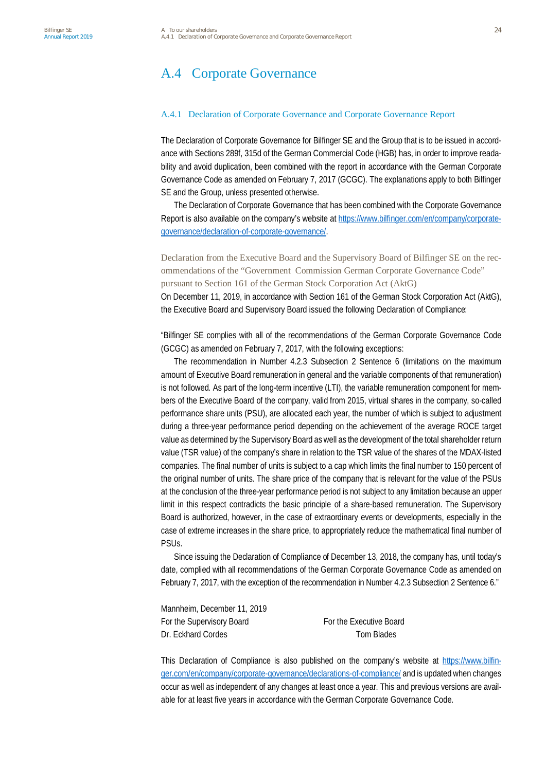# A.4 Corporate Governance

#### A.4.1 Declaration of Corporate Governance and Corporate Governance Report

The Declaration of Corporate Governance for Bilfinger SE and the Group that is to be issued in accordance with Sections 289f, 315d of the German Commercial Code (HGB) has, in order to improve readability and avoid duplication, been combined with the report in accordance with the German Corporate Governance Code as amended on February 7, 2017 (GCGC). The explanations apply to both Bilfinger SE and the Group, unless presented otherwise.

The Declaration of Corporate Governance that has been combined with the Corporate Governance Report is also available on the company's website at [https://www.bilfinger.com/en/company/corporate](https://www.bilfinger.com/en/company/corporate-governance/declaration-of-corporate-governance/)[governance/declaration-of-corporate-governance/.](https://www.bilfinger.com/en/company/corporate-governance/declaration-of-corporate-governance/)

Declaration from the Executive Board and the Supervisory Board of Bilfinger SE on the recommendations of the "Government Commission German Corporate Governance Code" pursuant to Section 161 of the German Stock Corporation Act (AktG)

On December 11, 2019, in accordance with Section 161 of the German Stock Corporation Act (AktG), the Executive Board and Supervisory Board issued the following Declaration of Compliance:

"Bilfinger SE complies with all of the recommendations of the German Corporate Governance Code (GCGC) as amended on February 7, 2017, with the following exceptions:

The recommendation in Number 4.2.3 Subsection 2 Sentence 6 (limitations on the maximum amount of Executive Board remuneration in general and the variable components of that remuneration) is not followed. As part of the long-term incentive (LTI), the variable remuneration component for members of the Executive Board of the company, valid from 2015, virtual shares in the company, so-called performance share units (PSU), are allocated each year, the number of which is subject to adjustment during a three-year performance period depending on the achievement of the average ROCE target value as determined by the Supervisory Board as well as the development of the total shareholder return value (TSR value) of the company's share in relation to the TSR value of the shares of the MDAX-listed companies. The final number of units is subject to a cap which limits the final number to 150 percent of the original number of units. The share price of the company that is relevant for the value of the PSUs at the conclusion of the three-year performance period is not subject to any limitation because an upper limit in this respect contradicts the basic principle of a share-based remuneration. The Supervisory Board is authorized, however, in the case of extraordinary events or developments, especially in the case of extreme increases in the share price, to appropriately reduce the mathematical final number of PSUs.

Since issuing the Declaration of Compliance of December 13, 2018, the company has, until today's date, complied with all recommendations of the German Corporate Governance Code as amended on February 7, 2017, with the exception of the recommendation in Number 4.2.3 Subsection 2 Sentence 6."

| Mannheim, December 11, 2019 |                         |
|-----------------------------|-------------------------|
| For the Supervisory Board   | For the Executive Board |
| Dr. Eckhard Cordes          | Tom Blades              |

This Declaration of Compliance is also published on the company's website at [https://www.bilfin](https://www.bilfinger.com/en/company/corporate-governance/declarations-of-compliance/)[ger.com/en/company/corporate-governance/declarations-of-compliance/](https://www.bilfinger.com/en/company/corporate-governance/declarations-of-compliance/) and is updated when changes occur as well as independent of any changes at least once a year. This and previous versions are available for at least five years in accordance with the German Corporate Governance Code.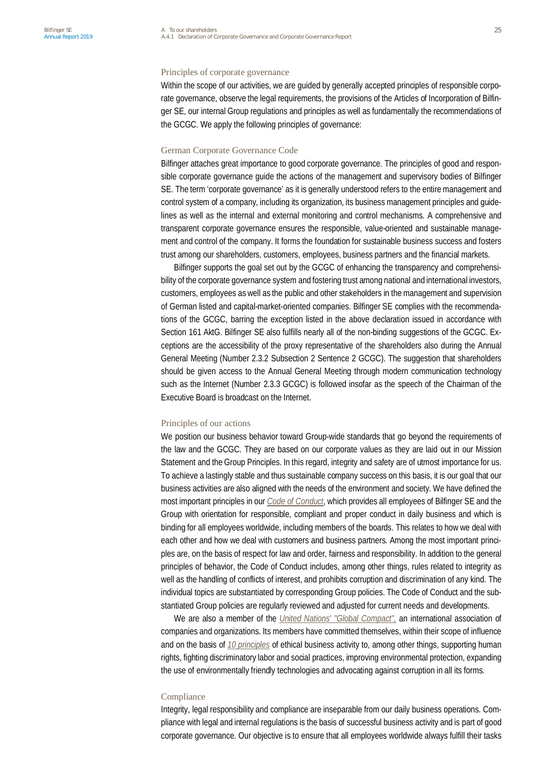### Principles of corporate governance

Within the scope of our activities, we are guided by generally accepted principles of responsible corporate governance, observe the legal requirements, the provisions of the Articles of Incorporation of Bilfinger SE, our internal Group regulations and principles as well as fundamentally the recommendations of the GCGC. We apply the following principles of governance:

### German Corporate Governance Code

Bilfinger attaches great importance to good corporate governance. The principles of good and responsible corporate governance guide the actions of the management and supervisory bodies of Bilfinger SE. The term 'corporate governance' as it is generally understood refers to the entire management and control system of a company, including its organization, its business management principles and guidelines as well as the internal and external monitoring and control mechanisms. A comprehensive and transparent corporate governance ensures the responsible, value-oriented and sustainable management and control of the company. It forms the foundation for sustainable business success and fosters trust among our shareholders, customers, employees, business partners and the financial markets.

Bilfinger supports the goal set out by the GCGC of enhancing the transparency and comprehensibility of the corporate governance system and fostering trust among national and international investors, customers, employees as well as the public and other stakeholders in the management and supervision of German listed and capital-market-oriented companies. Bilfinger SE complies with the recommendations of the GCGC, barring the exception listed in the above declaration issued in accordance with Section 161 AktG. Bilfinger SE also fulfills nearly all of the non-binding suggestions of the GCGC. Exceptions are the accessibility of the proxy representative of the shareholders also during the Annual General Meeting (Number 2.3.2 Subsection 2 Sentence 2 GCGC). The suggestion that shareholders should be given access to the Annual General Meeting through modern communication technology such as the Internet (Number 2.3.3 GCGC) is followed insofar as the speech of the Chairman of the Executive Board is broadcast on the Internet.

#### Principles of our actions

We position our business behavior toward Group-wide standards that go beyond the requirements of the law and the GCGC. They are based on our corporate values as they are laid out in our Mission Statement and the Group Principles. In this regard, integrity and safety are of utmost importance for us. To achieve a lastingly stable and thus sustainable company success on this basis, it is our goal that our business activities are also aligned with the needs of the environment and society. We have defined the most important principles in our *Code of Conduct*, which provides all employees of Bilfinger SE and the Group with orientation for responsible, compliant and proper conduct in daily business and which is binding for all employees worldwide, including members of the boards. This relates to how we deal with each other and how we deal with customers and business partners. Among the most important principles are, on the basis of respect for law and order, fairness and responsibility. In addition to the general principles of behavior, the Code of Conduct includes, among other things, rules related to integrity as well as the handling of conflicts of interest, and prohibits corruption and discrimination of any kind. The individual topics are substantiated by corresponding Group policies. The Code of Conduct and the substantiated Group policies are regularly reviewed and adjusted for current needs and developments.

We are also a member of the *United Nations' "Global Compact",* an international association of companies and organizations. Its members have committed themselves, within their scope of influence and on the basis of *10 principles* of ethical business activity to, among other things, supporting human rights, fighting discriminatory labor and social practices, improving environmental protection, expanding the use of environmentally friendly technologies and advocating against corruption in all its forms.

#### Compliance

Integrity, legal responsibility and compliance are inseparable from our daily business operations. Compliance with legal and internal regulations is the basis of successful business activity and is part of good corporate governance. Our objective is to ensure that all employees worldwide always fulfill their tasks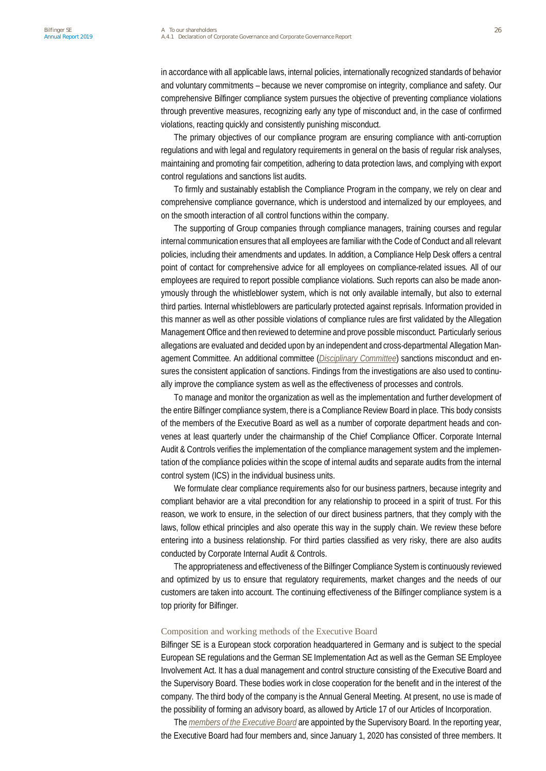in accordance with all applicable laws, internal policies, internationally recognized standards of behavior and voluntary commitments – because we never compromise on integrity, compliance and safety. Our comprehensive Bilfinger compliance system pursues the objective of preventing compliance violations through preventive measures, recognizing early any type of misconduct and, in the case of confirmed violations, reacting quickly and consistently punishing misconduct.

The primary objectives of our compliance program are ensuring compliance with anti-corruption regulations and with legal and regulatory requirements in general on the basis of regular risk analyses, maintaining and promoting fair competition, adhering to data protection laws, and complying with export control regulations and sanctions list audits.

To firmly and sustainably establish the Compliance Program in the company, we rely on clear and comprehensive compliance governance, which is understood and internalized by our employees, and on the smooth interaction of all control functions within the company.

The supporting of Group companies through compliance managers, training courses and regular internal communication ensures that all employees are familiar with the Code of Conduct and all relevant policies, including their amendments and updates. In addition, a Compliance Help Desk offers a central point of contact for comprehensive advice for all employees on compliance-related issues. All of our employees are required to report possible compliance violations. Such reports can also be made anonymously through the whistleblower system, which is not only available internally, but also to external third parties. Internal whistleblowers are particularly protected against reprisals. Information provided in this manner as well as other possible violations of compliance rules are first validated by the Allegation Management Office and then reviewed to determine and prove possible misconduct. Particularly serious allegations are evaluated and decided upon by an independent and cross-departmental Allegation Management Committee. An additional committee (*Disciplinary Committee*) sanctions misconduct and ensures the consistent application of sanctions. Findings from the investigations are also used to continually improve the compliance system as well as the effectiveness of processes and controls.

To manage and monitor the organization as well as the implementation and further development of the entire Bilfinger compliance system, there is a Compliance Review Board in place. This body consists of the members of the Executive Board as well as a number of corporate department heads and convenes at least quarterly under the chairmanship of the Chief Compliance Officer. Corporate Internal Audit & Controls verifies the implementation of the compliance management system and the implementation of the compliance policies within the scope of internal audits and separate audits from the internal control system (ICS) in the individual business units.

We formulate clear compliance requirements also for our business partners, because integrity and compliant behavior are a vital precondition for any relationship to proceed in a spirit of trust. For this reason, we work to ensure, in the selection of our direct business partners, that they comply with the laws, follow ethical principles and also operate this way in the supply chain. We review these before entering into a business relationship. For third parties classified as very risky, there are also audits conducted by Corporate Internal Audit & Controls.

The appropriateness and effectiveness of the Bilfinger Compliance System is continuously reviewed and optimized by us to ensure that regulatory requirements, market changes and the needs of our customers are taken into account. The continuing effectiveness of the Bilfinger compliance system is a top priority for Bilfinger.

#### Composition and working methods of the Executive Board

Bilfinger SE is a European stock corporation headquartered in Germany and is subject to the special European SE regulations and the German SE Implementation Act as well as the German SE Employee Involvement Act. It has a dual management and control structure consisting of the Executive Board and the Supervisory Board. These bodies work in close cooperation for the benefit and in the interest of the company. The third body of the company is the Annual General Meeting. At present, no use is made of the possibility of forming an advisory board, as allowed by Article 17 of our Articles of Incorporation.

The *members of the Executive Board* are appointed by the Supervisory Board. In the reporting year, the Executive Board had four members and, since January 1, 2020 has consisted of three members. It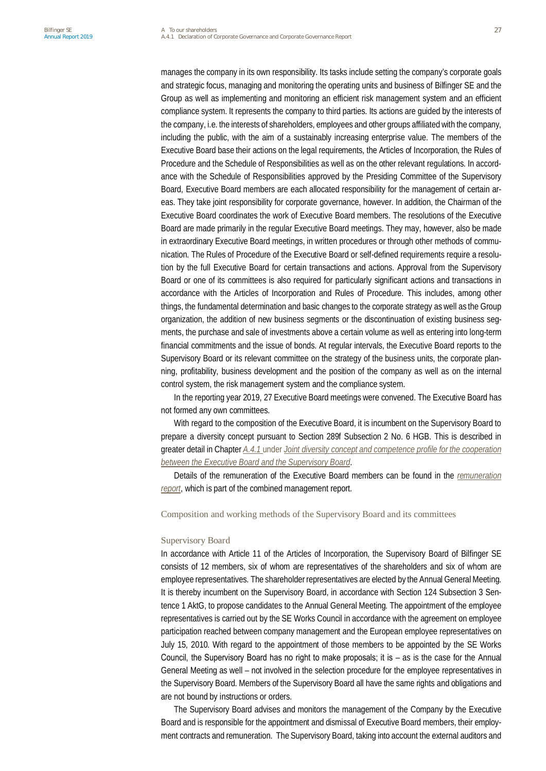manages the company in its own responsibility. Its tasks include setting the company's corporate goals and strategic focus, managing and monitoring the operating units and business of Bilfinger SE and the Group as well as implementing and monitoring an efficient risk management system and an efficient compliance system. It represents the company to third parties. Its actions are guided by the interests of the company, i.e. the interests of shareholders, employees and other groups affiliated with the company, including the public, with the aim of a sustainably increasing enterprise value. The members of the Executive Board base their actions on the legal requirements, the Articles of Incorporation, the Rules of Procedure and the Schedule of Responsibilities as well as on the other relevant regulations. In accordance with the Schedule of Responsibilities approved by the Presiding Committee of the Supervisory Board, Executive Board members are each allocated responsibility for the management of certain areas. They take joint responsibility for corporate governance, however. In addition, the Chairman of the Executive Board coordinates the work of Executive Board members. The resolutions of the Executive Board are made primarily in the regular Executive Board meetings. They may, however, also be made in extraordinary Executive Board meetings, in written procedures or through other methods of communication. The Rules of Procedure of the Executive Board or self-defined requirements require a resolution by the full Executive Board for certain transactions and actions. Approval from the Supervisory Board or one of its committees is also required for particularly significant actions and transactions in accordance with the Articles of Incorporation and Rules of Procedure. This includes, among other things, the fundamental determination and basic changes to the corporate strategy as well as the Group organization, the addition of new business segments or the discontinuation of existing business segments, the purchase and sale of investments above a certain volume as well as entering into long-term financial commitments and the issue of bonds. At regular intervals, the Executive Board reports to the Supervisory Board or its relevant committee on the strategy of the business units, the corporate planning, profitability, business development and the position of the company as well as on the internal control system, the risk management system and the compliance system.

In the reporting year 2019, 27 Executive Board meetings were convened. The Executive Board has not formed any own committees.

With regard to the composition of the Executive Board, it is incumbent on the Supervisory Board to prepare a diversity concept pursuant to Section 289f Subsection 2 No. 6 HGB. This is described in greater detail in Chapter *A.4.1* under *Joint diversity concept and competence profile for the cooperation between the Executive Board and the Supervisory Board*.

Details of the remuneration of the Executive Board members can be found in the *remuneration report*, which is part of the combined management report.

#### Composition and working methods of the Supervisory Board and its committees

#### Supervisory Board

In accordance with Article 11 of the Articles of Incorporation, the Supervisory Board of Bilfinger SE consists of 12 members, six of whom are representatives of the shareholders and six of whom are employee representatives. The shareholder representatives are elected by the Annual General Meeting. It is thereby incumbent on the Supervisory Board, in accordance with Section 124 Subsection 3 Sentence 1 AktG, to propose candidates to the Annual General Meeting. The appointment of the employee representatives is carried out by the SE Works Council in accordance with the agreement on employee participation reached between company management and the European employee representatives on July 15, 2010. With regard to the appointment of those members to be appointed by the SE Works Council, the Supervisory Board has no right to make proposals; it is – as is the case for the Annual General Meeting as well – not involved in the selection procedure for the employee representatives in the Supervisory Board. Members of the Supervisory Board all have the same rights and obligations and are not bound by instructions or orders.

The Supervisory Board advises and monitors the management of the Company by the Executive Board and is responsible for the appointment and dismissal of Executive Board members, their employment contracts and remuneration. The Supervisory Board, taking into account the external auditors and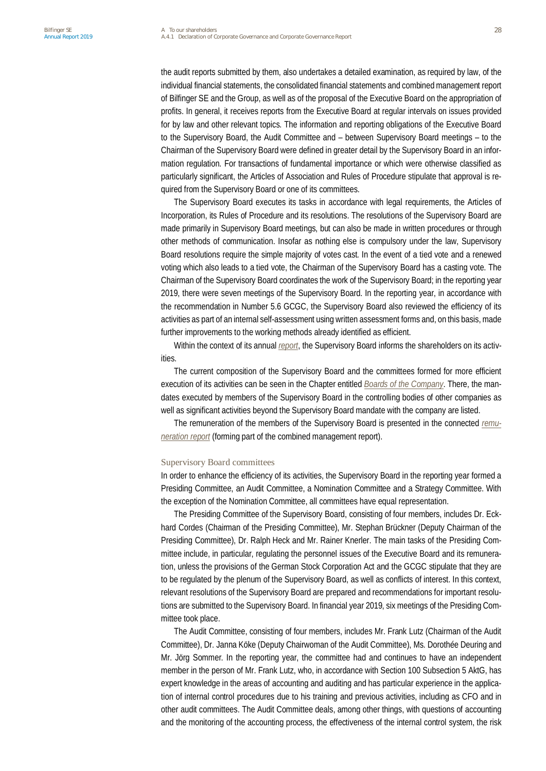the audit reports submitted by them, also undertakes a detailed examination, as required by law, of the individual financial statements, the consolidated financial statements and combined management report of Bilfinger SE and the Group, as well as of the proposal of the Executive Board on the appropriation of profits. In general, it receives reports from the Executive Board at regular intervals on issues provided for by law and other relevant topics. The information and reporting obligations of the Executive Board to the Supervisory Board, the Audit Committee and – between Supervisory Board meetings – to the Chairman of the Supervisory Board were defined in greater detail by the Supervisory Board in an information regulation. For transactions of fundamental importance or which were otherwise classified as particularly significant, the Articles of Association and Rules of Procedure stipulate that approval is required from the Supervisory Board or one of its committees.

The Supervisory Board executes its tasks in accordance with legal requirements, the Articles of Incorporation, its Rules of Procedure and its resolutions. The resolutions of the Supervisory Board are made primarily in Supervisory Board meetings, but can also be made in written procedures or through other methods of communication. Insofar as nothing else is compulsory under the law, Supervisory Board resolutions require the simple majority of votes cast. In the event of a tied vote and a renewed voting which also leads to a tied vote, the Chairman of the Supervisory Board has a casting vote. The Chairman of the Supervisory Board coordinates the work of the Supervisory Board; in the reporting year 2019, there were seven meetings of the Supervisory Board. In the reporting year, in accordance with the recommendation in Number 5.6 GCGC, the Supervisory Board also reviewed the efficiency of its activities as part of an internal self-assessment using written assessment forms and, on this basis, made further improvements to the working methods already identified as efficient.

Within the context of its annual *report*, the Supervisory Board informs the shareholders on its activities.

The current composition of the Supervisory Board and the committees formed for more efficient execution of its activities can be seen in the Chapter entitled *Boards of the Company*. There, the mandates executed by members of the Supervisory Board in the controlling bodies of other companies as well as significant activities beyond the Supervisory Board mandate with the company are listed.

The remuneration of the members of the Supervisory Board is presented in the connected *remuneration report* (forming part of the combined management report).

#### Supervisory Board committees

In order to enhance the efficiency of its activities, the Supervisory Board in the reporting year formed a Presiding Committee, an Audit Committee, a Nomination Committee and a Strategy Committee. With the exception of the Nomination Committee, all committees have equal representation.

The Presiding Committee of the Supervisory Board, consisting of four members, includes Dr. Eckhard Cordes (Chairman of the Presiding Committee), Mr. Stephan Brückner (Deputy Chairman of the Presiding Committee), Dr. Ralph Heck and Mr. Rainer Knerler. The main tasks of the Presiding Committee include, in particular, regulating the personnel issues of the Executive Board and its remuneration, unless the provisions of the German Stock Corporation Act and the GCGC stipulate that they are to be regulated by the plenum of the Supervisory Board, as well as conflicts of interest. In this context, relevant resolutions of the Supervisory Board are prepared and recommendations for important resolutions are submitted to the Supervisory Board. In financial year 2019, six meetings of the Presiding Committee took place.

The Audit Committee, consisting of four members, includes Mr. Frank Lutz (Chairman of the Audit Committee), Dr. Janna Köke (Deputy Chairwoman of the Audit Committee), Ms. Dorothée Deuring and Mr. Jörg Sommer. In the reporting year, the committee had and continues to have an independent member in the person of Mr. Frank Lutz, who, in accordance with Section 100 Subsection 5 AktG, has expert knowledge in the areas of accounting and auditing and has particular experience in the application of internal control procedures due to his training and previous activities, including as CFO and in other audit committees. The Audit Committee deals, among other things, with questions of accounting and the monitoring of the accounting process, the effectiveness of the internal control system, the risk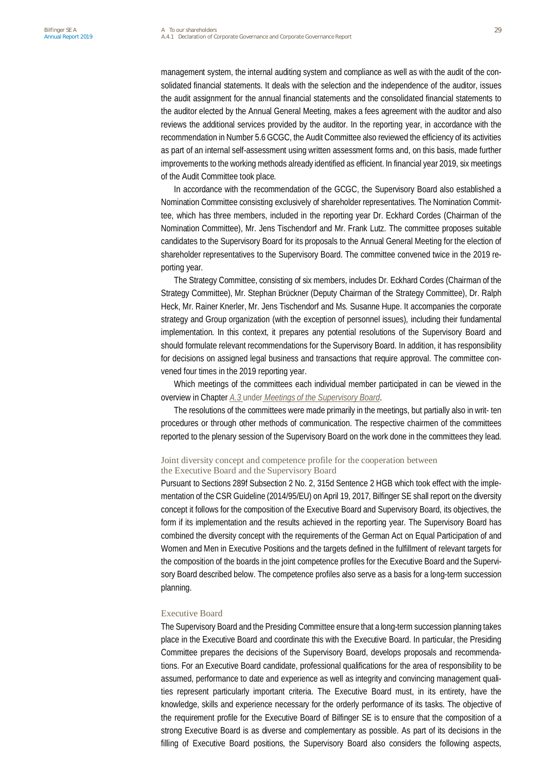management system, the internal auditing system and compliance as well as with the audit of the consolidated financial statements. It deals with the selection and the independence of the auditor, issues the audit assignment for the annual financial statements and the consolidated financial statements to the auditor elected by the Annual General Meeting, makes a fees agreement with the auditor and also reviews the additional services provided by the auditor. In the reporting year, in accordance with the recommendation in Number 5.6 GCGC, the Audit Committee also reviewed the efficiency of its activities as part of an internal self-assessment using written assessment forms and, on this basis, made further improvements to the working methods already identified as efficient. In financial year 2019, six meetings of the Audit Committee took place.

In accordance with the recommendation of the GCGC, the Supervisory Board also established a Nomination Committee consisting exclusively of shareholder representatives. The Nomination Committee, which has three members, included in the reporting year Dr. Eckhard Cordes (Chairman of the Nomination Committee), Mr. Jens Tischendorf and Mr. Frank Lutz. The committee proposes suitable candidates to the Supervisory Board for its proposals to the Annual General Meeting for the election of shareholder representatives to the Supervisory Board. The committee convened twice in the 2019 reporting year.

The Strategy Committee, consisting of six members, includes Dr. Eckhard Cordes (Chairman of the Strategy Committee), Mr. Stephan Brückner (Deputy Chairman of the Strategy Committee), Dr. Ralph Heck, Mr. Rainer Knerler, Mr. Jens Tischendorf and Ms. Susanne Hupe. It accompanies the corporate strategy and Group organization (with the exception of personnel issues), including their fundamental implementation. In this context, it prepares any potential resolutions of the Supervisory Board and should formulate relevant recommendations for the Supervisory Board. In addition, it has responsibility for decisions on assigned legal business and transactions that require approval. The committee convened four times in the 2019 reporting year.

Which meetings of the committees each individual member participated in can be viewed in the overview in Chapter *A.3* under *Meetings of the Supervisory Board*.

The resolutions of the committees were made primarily in the meetings, but partially also in writ- ten procedures or through other methods of communication. The respective chairmen of the committees reported to the plenary session of the Supervisory Board on the work done in the committees they lead.

## Joint diversity concept and competence profile for the cooperation between the Executive Board and the Supervisory Board

Pursuant to Sections 289f Subsection 2 No. 2, 315d Sentence 2 HGB which took effect with the implementation of the CSR Guideline (2014/95/EU) on April 19, 2017, Bilfinger SE shall report on the diversity concept it follows for the composition of the Executive Board and Supervisory Board, its objectives, the form if its implementation and the results achieved in the reporting year. The Supervisory Board has combined the diversity concept with the requirements of the German Act on Equal Participation of and Women and Men in Executive Positions and the targets defined in the fulfillment of relevant targets for the composition of the boards in the joint competence profiles for the Executive Board and the Supervisory Board described below. The competence profiles also serve as a basis for a long-term succession planning.

#### Executive Board

The Supervisory Board and the Presiding Committee ensure that a long-term succession planning takes place in the Executive Board and coordinate this with the Executive Board. In particular, the Presiding Committee prepares the decisions of the Supervisory Board, develops proposals and recommendations. For an Executive Board candidate, professional qualifications for the area of responsibility to be assumed, performance to date and experience as well as integrity and convincing management qualities represent particularly important criteria. The Executive Board must, in its entirety, have the knowledge, skills and experience necessary for the orderly performance of its tasks. The objective of the requirement profile for the Executive Board of Bilfinger SE is to ensure that the composition of a strong Executive Board is as diverse and complementary as possible. As part of its decisions in the filling of Executive Board positions, the Supervisory Board also considers the following aspects,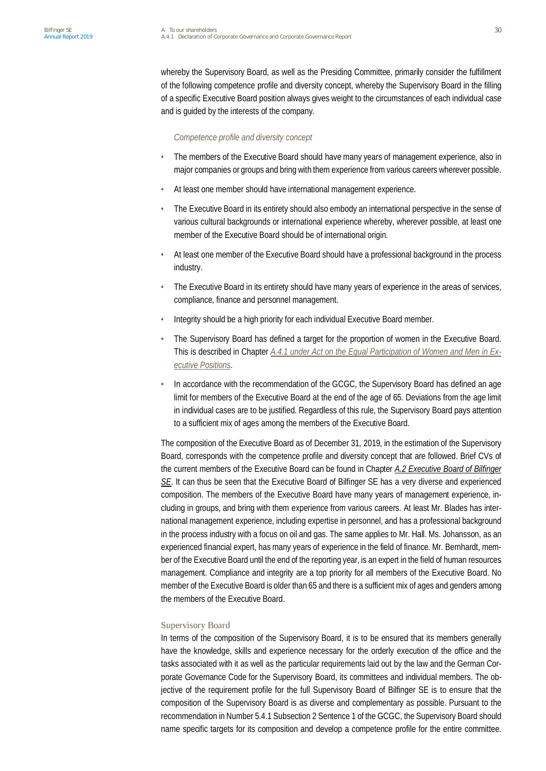whereby the Supervisory Board, as well as the Presiding Committee, primarily consider the fulfillment of the following competence profile and diversity concept, whereby the Supervisory Board in the filling of a specific Executive Board position always gives weight to the circumstances of each individual case and is guided by the interests of the company.

#### *Competence profile and diversity concept*

- The members of the Executive Board should have many years of management experience, also in major companies or groups and bring with them experience from various careers wherever possible.
- At least one member should have international management experience.
- The Executive Board in its entirety should also embody an international perspective in the sense of various cultural backgrounds or international experience whereby, wherever possible, at least one member of the Executive Board should be of international origin.
- At least one member of the Executive Board should have a professional background in the process industry.
- The Executive Board in its entirety should have many years of experience in the areas of services, compliance, finance and personnel management.
- Integrity should be a high priority for each individual Executive Board member.
- The Supervisory Board has defined a target for the proportion of women in the Executive Board. This is described in Chapter *A.4.1 under Act on the Equal Participation of Women and Men in Executive Positions*.
- In accordance with the recommendation of the GCGC, the Supervisory Board has defined an age limit for members of the Executive Board at the end of the age of 65. Deviations from the age limit in individual cases are to be justified. Regardless of this rule, the Supervisory Board pays attention to a sufficient mix of ages among the members of the Executive Board.

The composition of the Executive Board as of December 31, 2019, in the estimation of the Supervisory Board, corresponds with the competence profile and diversity concept that are followed. Brief CVs of the current members of the Executive Board can be found in Chapter *A.2 Executive Board of Bilfinger SE*. It can thus be seen that the Executive Board of Bilfinger SE has a very diverse and experienced composition. The members of the Executive Board have many years of management experience, including in groups, and bring with them experience from various careers. At least Mr. Blades has international management experience, including expertise in personnel, and has a professional background in the process industry with a focus on oil and gas. The same applies to Mr. Hall. Ms. Johansson, as an experienced financial expert, has many years of experience in the field of finance. Mr. Bernhardt, member of the Executive Board until the end of the reporting year, is an expert in the field of human resources management. Compliance and integrity are a top priority for all members of the Executive Board. No member of the Executive Board is older than 65 and there is a sufficient mix of ages and genders among the members of the Executive Board.

### Supervisory Board

In terms of the composition of the Supervisory Board, it is to be ensured that its members generally have the knowledge, skills and experience necessary for the orderly execution of the office and the tasks associated with it as well as the particular requirements laid out by the law and the German Corporate Governance Code for the Supervisory Board, its committees and individual members. The objective of the requirement profile for the full Supervisory Board of Bilfinger SE is to ensure that the composition of the Supervisory Board is as diverse and complementary as possible. Pursuant to the recommendation in Number 5.4.1 Subsection 2 Sentence 1 of the GCGC, the Supervisory Board should name specific targets for its composition and develop a competence profile for the entire committee.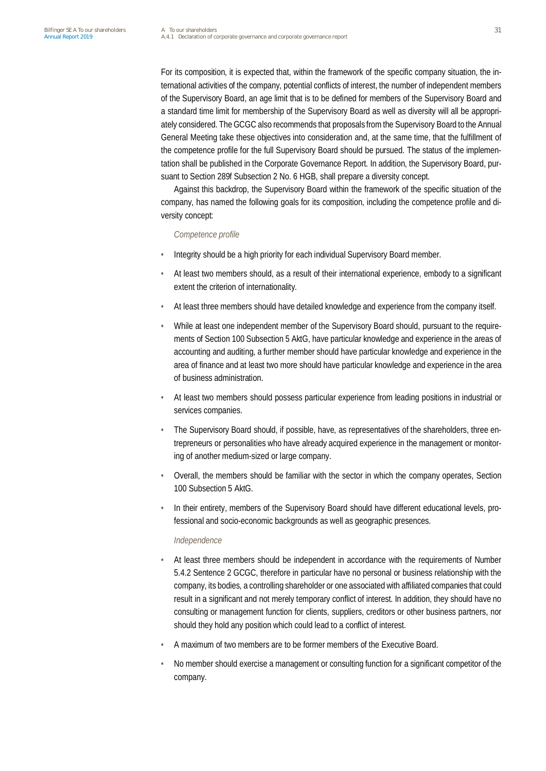For its composition, it is expected that, within the framework of the specific company situation, the international activities of the company, potential conflicts of interest, the number of independent members of the Supervisory Board, an age limit that is to be defined for members of the Supervisory Board and a standard time limit for membership of the Supervisory Board as well as diversity will all be appropriately considered. The GCGC also recommends that proposals from the Supervisory Board to the Annual General Meeting take these objectives into consideration and, at the same time, that the fulfillment of the competence profile for the full Supervisory Board should be pursued. The status of the implementation shall be published in the Corporate Governance Report. In addition, the Supervisory Board, pursuant to Section 289f Subsection 2 No. 6 HGB, shall prepare a diversity concept.

Against this backdrop, the Supervisory Board within the framework of the specific situation of the company, has named the following goals for its composition, including the competence profile and diversity concept:

#### *Competence profile*

- Integrity should be a high priority for each individual Supervisory Board member.
- At least two members should, as a result of their international experience, embody to a significant extent the criterion of internationality.
- At least three members should have detailed knowledge and experience from the company itself.
- While at least one independent member of the Supervisory Board should, pursuant to the requirements of Section 100 Subsection 5 AktG, have particular knowledge and experience in the areas of accounting and auditing, a further member should have particular knowledge and experience in the area of finance and at least two more should have particular knowledge and experience in the area of business administration.
- At least two members should possess particular experience from leading positions in industrial or services companies.
- The Supervisory Board should, if possible, have, as representatives of the shareholders, three entrepreneurs or personalities who have already acquired experience in the management or monitoring of another medium-sized or large company.
- Overall, the members should be familiar with the sector in which the company operates, Section 100 Subsection 5 AktG.
- In their entirety, members of the Supervisory Board should have different educational levels, professional and socio-economic backgrounds as well as geographic presences.

#### *Independence*

- At least three members should be independent in accordance with the requirements of Number 5.4.2 Sentence 2 GCGC, therefore in particular have no personal or business relationship with the company, its bodies, a controlling shareholder or one associated with affiliated companies that could result in a significant and not merely temporary conflict of interest. In addition, they should have no consulting or management function for clients, suppliers, creditors or other business partners, nor should they hold any position which could lead to a conflict of interest.
- A maximum of two members are to be former members of the Executive Board.
- No member should exercise a management or consulting function for a significant competitor of the company.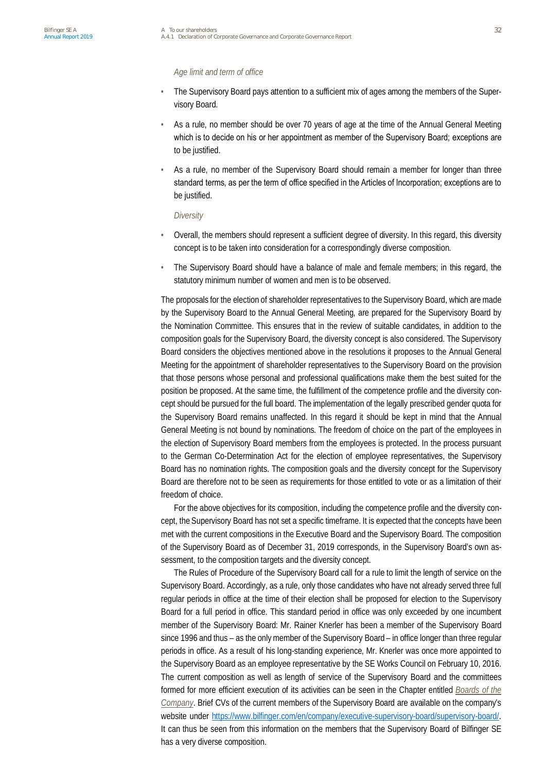#### *Age limit and term of office*

- The Supervisory Board pays attention to a sufficient mix of ages among the members of the Supervisory Board.
- As a rule, no member should be over 70 years of age at the time of the Annual General Meeting which is to decide on his or her appointment as member of the Supervisory Board; exceptions are to be justified.
- As a rule, no member of the Supervisory Board should remain a member for longer than three standard terms, as per the term of office specified in the Articles of Incorporation; exceptions are to be justified.

#### *Diversity*

- Overall, the members should represent a sufficient degree of diversity. In this regard, this diversity concept is to be taken into consideration for a correspondingly diverse composition.
- The Supervisory Board should have a balance of male and female members; in this regard, the statutory minimum number of women and men is to be observed.

The proposals for the election of shareholder representatives to the Supervisory Board, which are made by the Supervisory Board to the Annual General Meeting, are prepared for the Supervisory Board by the Nomination Committee. This ensures that in the review of suitable candidates, in addition to the composition goals for the Supervisory Board, the diversity concept is also considered. The Supervisory Board considers the objectives mentioned above in the resolutions it proposes to the Annual General Meeting for the appointment of shareholder representatives to the Supervisory Board on the provision that those persons whose personal and professional qualifications make them the best suited for the position be proposed. At the same time, the fulfillment of the competence profile and the diversity concept should be pursued for the full board. The implementation of the legally prescribed gender quota for the Supervisory Board remains unaffected. In this regard it should be kept in mind that the Annual General Meeting is not bound by nominations. The freedom of choice on the part of the employees in the election of Supervisory Board members from the employees is protected. In the process pursuant to the German Co-Determination Act for the election of employee representatives, the Supervisory Board has no nomination rights. The composition goals and the diversity concept for the Supervisory Board are therefore not to be seen as requirements for those entitled to vote or as a limitation of their freedom of choice.

For the above objectives for its composition, including the competence profile and the diversity concept, the Supervisory Board has not set a specific timeframe. It is expected that the concepts have been met with the current compositions in the Executive Board and the Supervisory Board. The composition of the Supervisory Board as of December 31, 2019 corresponds, in the Supervisory Board's own assessment, to the composition targets and the diversity concept.

The Rules of Procedure of the Supervisory Board call for a rule to limit the length of service on the Supervisory Board. Accordingly, as a rule, only those candidates who have not already served three full regular periods in office at the time of their election shall be proposed for election to the Supervisory Board for a full period in office. This standard period in office was only exceeded by one incumbent member of the Supervisory Board: Mr. Rainer Knerler has been a member of the Supervisory Board since 1996 and thus – as the only member of the Supervisory Board – in office longer than three regular periods in office. As a result of his long-standing experience, Mr. Knerler was once more appointed to the Supervisory Board as an employee representative by the SE Works Council on February 10, 2016. The current composition as well as length of service of the Supervisory Board and the committees formed for more efficient execution of its activities can be seen in the Chapter entitled *Boards of the Company*. Brief CVs of the current members of the Supervisory Board are available on the company's website under <https://www.bilfinger.com/en/company/executive-supervisory-board/supervisory-board/>. It can thus be seen from this information on the members that the Supervisory Board of Bilfinger SE has a very diverse composition.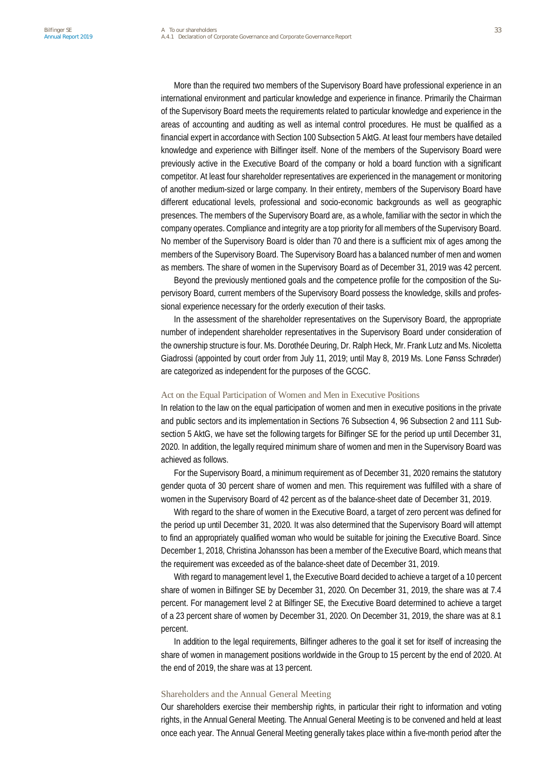More than the required two members of the Supervisory Board have professional experience in an international environment and particular knowledge and experience in finance. Primarily the Chairman of the Supervisory Board meets the requirements related to particular knowledge and experience in the areas of accounting and auditing as well as internal control procedures. He must be qualified as a financial expert in accordance with Section 100 Subsection 5 AktG. At least four members have detailed knowledge and experience with Bilfinger itself. None of the members of the Supervisory Board were previously active in the Executive Board of the company or hold a board function with a significant competitor. At least four shareholder representatives are experienced in the management or monitoring of another medium-sized or large company. In their entirety, members of the Supervisory Board have different educational levels, professional and socio-economic backgrounds as well as geographic presences. The members of the Supervisory Board are, as a whole, familiar with the sector in which the company operates. Compliance and integrity are a top priority for all members of the Supervisory Board. No member of the Supervisory Board is older than 70 and there is a sufficient mix of ages among the members of the Supervisory Board. The Supervisory Board has a balanced number of men and women as members. The share of women in the Supervisory Board as of December 31, 2019 was 42 percent.

Beyond the previously mentioned goals and the competence profile for the composition of the Supervisory Board, current members of the Supervisory Board possess the knowledge, skills and professional experience necessary for the orderly execution of their tasks.

In the assessment of the shareholder representatives on the Supervisory Board, the appropriate number of independent shareholder representatives in the Supervisory Board under consideration of the ownership structure is four. Ms. Dorothée Deuring, Dr. Ralph Heck, Mr. Frank Lutz and Ms. Nicoletta Giadrossi (appointed by court order from July 11, 2019; until May 8, 2019 Ms. Lone Fønss Schrøder) are categorized as independent for the purposes of the GCGC.

#### Act on the Equal Participation of Women and Men in Executive Positions

In relation to the law on the equal participation of women and men in executive positions in the private and public sectors and its implementation in Sections 76 Subsection 4, 96 Subsection 2 and 111 Subsection 5 AktG, we have set the following targets for Bilfinger SE for the period up until December 31, 2020. In addition, the legally required minimum share of women and men in the Supervisory Board was achieved as follows.

For the Supervisory Board, a minimum requirement as of December 31, 2020 remains the statutory gender quota of 30 percent share of women and men. This requirement was fulfilled with a share of women in the Supervisory Board of 42 percent as of the balance-sheet date of December 31, 2019.

With regard to the share of women in the Executive Board, a target of zero percent was defined for the period up until December 31, 2020. It was also determined that the Supervisory Board will attempt to find an appropriately qualified woman who would be suitable for joining the Executive Board. Since December 1, 2018, Christina Johansson has been a member of the Executive Board, which means that the requirement was exceeded as of the balance-sheet date of December 31, 2019.

With regard to management level 1, the Executive Board decided to achieve a target of a 10 percent share of women in Bilfinger SE by December 31, 2020. On December 31, 2019, the share was at 7.4 percent. For management level 2 at Bilfinger SE, the Executive Board determined to achieve a target of a 23 percent share of women by December 31, 2020. On December 31, 2019, the share was at 8.1 percent.

In addition to the legal requirements, Bilfinger adheres to the goal it set for itself of increasing the share of women in management positions worldwide in the Group to 15 percent by the end of 2020. At the end of 2019, the share was at 13 percent.

#### Shareholders and the Annual General Meeting

Our shareholders exercise their membership rights, in particular their right to information and voting rights, in the Annual General Meeting. The Annual General Meeting is to be convened and held at least once each year. The Annual General Meeting generally takes place within a five-month period after the